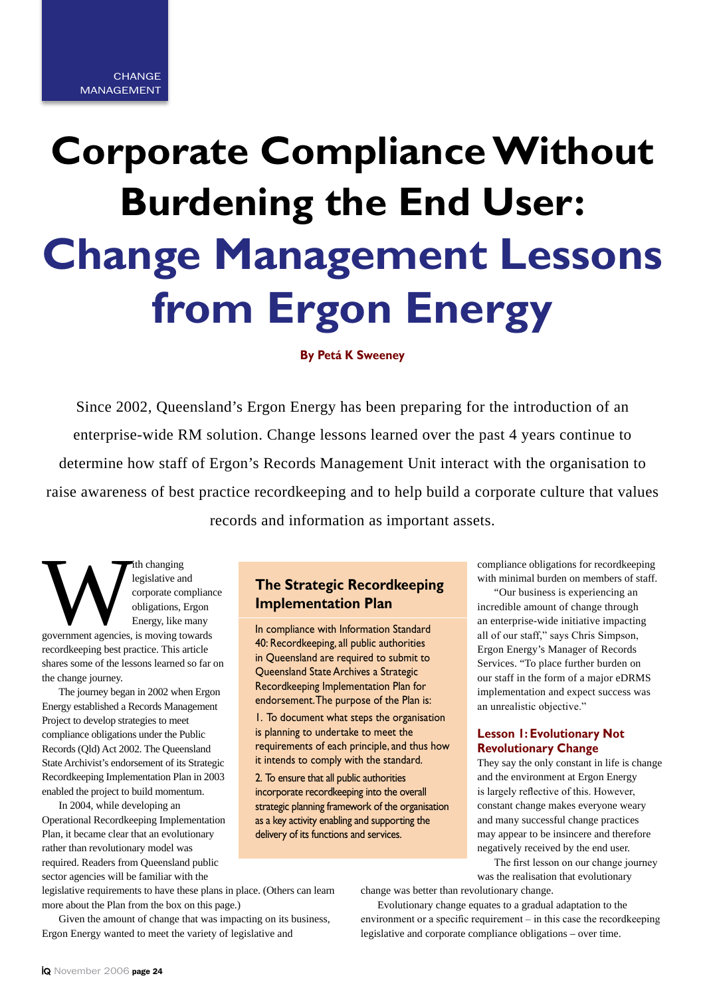# **Corporate Compliance Without Burdening the End User: Change Management Lessons from Ergon Energy**

**By Petá K Sweeney**

Since 2002, Queensland's Ergon Energy has been preparing for the introduction of an enterprise-wide RM solution. Change lessons learned over the past 4 years continue to determine how staff of Ergon's Records Management Unit interact with the organisation to raise awareness of best practice recordkeeping and to help build a corporate culture that values records and information as important assets.

Tith changing<br>
legislative and<br>
corporate compliana<br>
obligations, Ergon<br>
Energy, like many<br>
government agencies, is moving towards legislative and corporate compliance obligations, Ergon Energy, like many recordkeeping best practice. This article shares some of the lessons learned so far on the change journey.

The journey began in 2002 when Ergon Energy established a Records Management Project to develop strategies to meet compliance obligations under the Public Records (Qld) Act 2002. The Queensland State Archivist's endorsement of its Strategic Recordkeeping Implementation Plan in 2003 enabled the project to build momentum.

In 2004, while developing an Operational Recordkeeping Implementation Plan, it became clear that an evolutionary rather than revolutionary model was required. Readers from Queensland public sector agencies will be familiar with the

# **The Strategic Recordkeeping Implementation Plan**

In compliance with Information Standard 40: Recordkeeping, all public authorities in Queensland are required to submit to Queensland State Archives a Strategic Recordkeeping Implementation Plan for endorsement. The purpose of the Plan is:

1. To document what steps the organisation is planning to undertake to meet the requirements of each principle, and thus how it intends to comply with the standard.

2. To ensure that all public authorities incorporate recordkeeping into the overall strategic planning framework of the organisation as a key activity enabling and supporting the delivery of its functions and services.

legislative requirements to have these plans in place. (Others can learn more about the Plan from the box on this page.)

Given the amount of change that was impacting on its business, Ergon Energy wanted to meet the variety of legislative and

compliance obligations for recordkeeping with minimal burden on members of staff.

"Our business is experiencing an incredible amount of change through an enterprise-wide initiative impacting all of our staff," says Chris Simpson, Ergon Energy's Manager of Records Services. "To place further burden on our staff in the form of a major eDRMS implementation and expect success was an unrealistic objective."

# **Lesson 1: Evolutionary Not Revolutionary Change**

They say the only constant in life is change and the environment at Ergon Energy is largely reflective of this. However, constant change makes everyone weary and many successful change practices may appear to be insincere and therefore negatively received by the end user.

The first lesson on our change journey was the realisation that evolutionary

change was better than revolutionary change.

Evolutionary change equates to a gradual adaptation to the environment or a specific requirement – in this case the recordkeeping legislative and corporate compliance obligations – over time.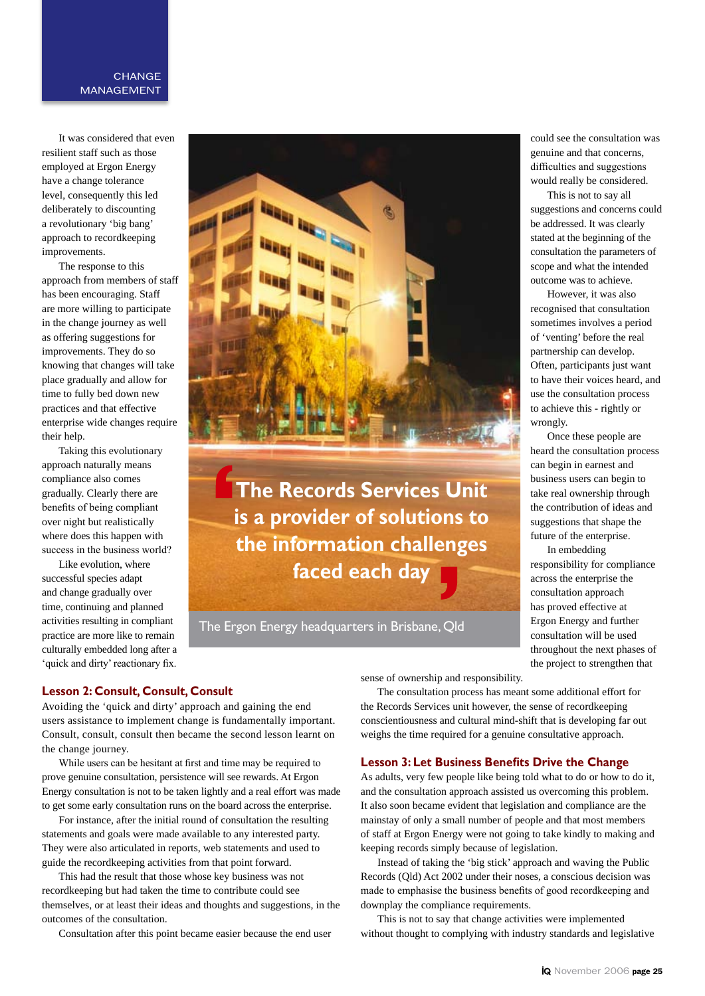## **CHANGE** MANAGEMENT

It was considered that even resilient staff such as those employed at Ergon Energy have a change tolerance level, consequently this led deliberately to discounting a revolutionary 'big bang' approach to recordkeeping improvements.

The response to this approach from members of staff has been encouraging. Staff are more willing to participate in the change journey as well as offering suggestions for improvements. They do so knowing that changes will take place gradually and allow for time to fully bed down new practices and that effective enterprise wide changes require their help.

Taking this evolutionary approach naturally means compliance also comes gradually. Clearly there are benefits of being compliant over night but realistically where does this happen with success in the business world?

Like evolution, where successful species adapt and change gradually over time, continuing and planned activities resulting in compliant practice are more like to remain culturally embedded long after a 'quick and dirty' reactionary fix.



**The Records Services Unit is a provider of solutions to the information challenges faced each day**

The Ergon Energy headquarters in Brisbane, Qld

could see the consultation was genuine and that concerns, difficulties and suggestions would really be considered.

This is not to say all suggestions and concerns could be addressed. It was clearly stated at the beginning of the consultation the parameters of scope and what the intended outcome was to achieve.

However, it was also recognised that consultation sometimes involves a period of 'venting' before the real partnership can develop. Often, participants just want to have their voices heard, and use the consultation process to achieve this - rightly or wrongly.

Once these people are heard the consultation process can begin in earnest and business users can begin to take real ownership through the contribution of ideas and suggestions that shape the future of the enterprise.

In embedding responsibility for compliance across the enterprise the consultation approach has proved effective at Ergon Energy and further consultation will be used throughout the next phases of the project to strengthen that

#### **Lesson 2: Consult, Consult, Consult**

Avoiding the 'quick and dirty' approach and gaining the end users assistance to implement change is fundamentally important. Consult, consult, consult then became the second lesson learnt on the change journey.

While users can be hesitant at first and time may be required to prove genuine consultation, persistence will see rewards. At Ergon Energy consultation is not to be taken lightly and a real effort was made to get some early consultation runs on the board across the enterprise.

For instance, after the initial round of consultation the resulting statements and goals were made available to any interested party. They were also articulated in reports, web statements and used to guide the recordkeeping activities from that point forward.

This had the result that those whose key business was not recordkeeping but had taken the time to contribute could see themselves, or at least their ideas and thoughts and suggestions, in the outcomes of the consultation.

Consultation after this point became easier because the end user

sense of ownership and responsibility.

The consultation process has meant some additional effort for the Records Services unit however, the sense of recordkeeping conscientiousness and cultural mind-shift that is developing far out weighs the time required for a genuine consultative approach.

#### **Lesson 3: Let Business Benefits Drive the Change**

As adults, very few people like being told what to do or how to do it, and the consultation approach assisted us overcoming this problem. It also soon became evident that legislation and compliance are the mainstay of only a small number of people and that most members of staff at Ergon Energy were not going to take kindly to making and keeping records simply because of legislation.

Instead of taking the 'big stick' approach and waving the Public Records (Qld) Act 2002 under their noses, a conscious decision was made to emphasise the business benefits of good recordkeeping and downplay the compliance requirements.

This is not to say that change activities were implemented without thought to complying with industry standards and legislative